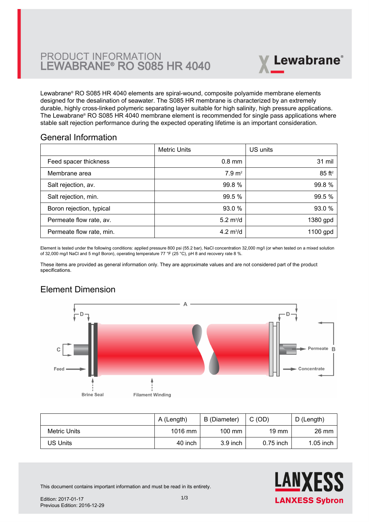

Lewabrane® RO S085 HR 4040 elements are spiral-wound, composite polyamide membrane elements designed for the desalination of seawater. The S085 HR membrane is characterized by an extremely [durable, highly cross-linked polymeric separating layer suitable for high salinity, high pressure applications.](https://www.pureaqua.com/lanxess-lewabrane-s085-hr-4040-membrane/) The Lewabrane® RO S085 HR 4040 membrane element is recommended for single pass applications where stable salt rejection performance during the expected operating lifetime is an important consideration.

#### General Information

|                          | <b>Metric Units</b> | US units             |
|--------------------------|---------------------|----------------------|
| Feed spacer thickness    | $0.8$ mm            | 31 mil               |
| Membrane area            | $7.9 \text{ m}^2$   | $85$ ft <sup>2</sup> |
| Salt rejection, av.      | 99.8 %              | 99.8%                |
| Salt rejection, min.     | 99.5 %              | 99.5 %               |
| Boron rejection, typical | 93.0 %              | 93.0 %               |
| Permeate flow rate, av.  | 5.2 $m^3/d$         | 1380 gpd             |
| Permeate flow rate, min. | 4.2 $m^3/d$         | 1100 gpd             |

Element is tested under the following conditions: applied pressure 800 psi (55.2 bar), NaCl concentration 32,000 mg/l (or when tested on a mixed solution of 32,000 mg/l NaCl and 5 mg/l Boron), operating temperature 77 °F (25 °C), pH 8 and recovery rate 8 %.

These items are provided as general information only. They are approximate values and are not considered part of the product specifications.

# Element Dimension



|              | A (Length) | B (Diameter)     | C(OD)           | D (Length)  |
|--------------|------------|------------------|-----------------|-------------|
| Metric Units | $1016$ mm  | $100 \text{ mm}$ | $19 \text{ mm}$ | 26 mm       |
| US Units     | 40 inch    | $3.9$ inch       | $0.75$ inch     | $1.05$ inch |



This document contains important information and must be read in its entirety.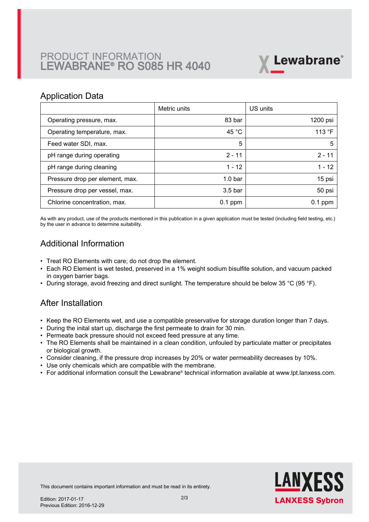# PRODUCT INFORMATION LEWABRANE® RO S085 HR 4040



#### Application Data

|                                 | Metric units       | US units        |
|---------------------------------|--------------------|-----------------|
| Operating pressure, max.        | 83 bar             | 1200 psi        |
| Operating temperature, max.     | 45 $^{\circ}$ C    | 113 $\degree$ F |
| Feed water SDI, max.            | 5                  | 5               |
| pH range during operating       | $2 - 11$           | $2 - 11$        |
| pH range during cleaning        | $1 - 12$           | $1 - 12$        |
| Pressure drop per element, max. | 1.0 <sub>bar</sub> | 15 psi          |
| Pressure drop per vessel, max.  | 3.5 <sub>bar</sub> | 50 psi          |
| Chlorine concentration, max.    | $0.1$ ppm          | $0.1$ ppm       |

As with any product, use of the products mentioned in this publication in a given application must be tested (including field testing, etc.) by the user in advance to determine suitability.

## Additional Information

- Treat RO Elements with care; do not drop the element.
- Each RO Element is wet tested, preserved in a 1% weight sodium bisulfite solution, and vacuum packed in oxygen barrier bags.
- During storage, avoid freezing and direct sunlight. The temperature should be below 35 °C (95 °F).

#### After Installation

- Keep the RO Elements wet, and use a compatible preservative for storage duration longer than 7 days.
- During the inital start up, discharge the first permeate to drain for 30 min.
- Permeate back pressure should not exceed feed pressure at any time.
- The RO Elements shall be maintained in a clean condition, unfouled by particulate matter or precipitates or biological growth.
- Consider cleaning, if the pressure drop increases by 20% or water permeability decreases by 10%.
- Use only chemicals which are compatible with the membrane.
- For additional information consult the Lewabrane® technical information available at www.lpt.lanxess.com.



This document contains important information and must be read in its entirety.